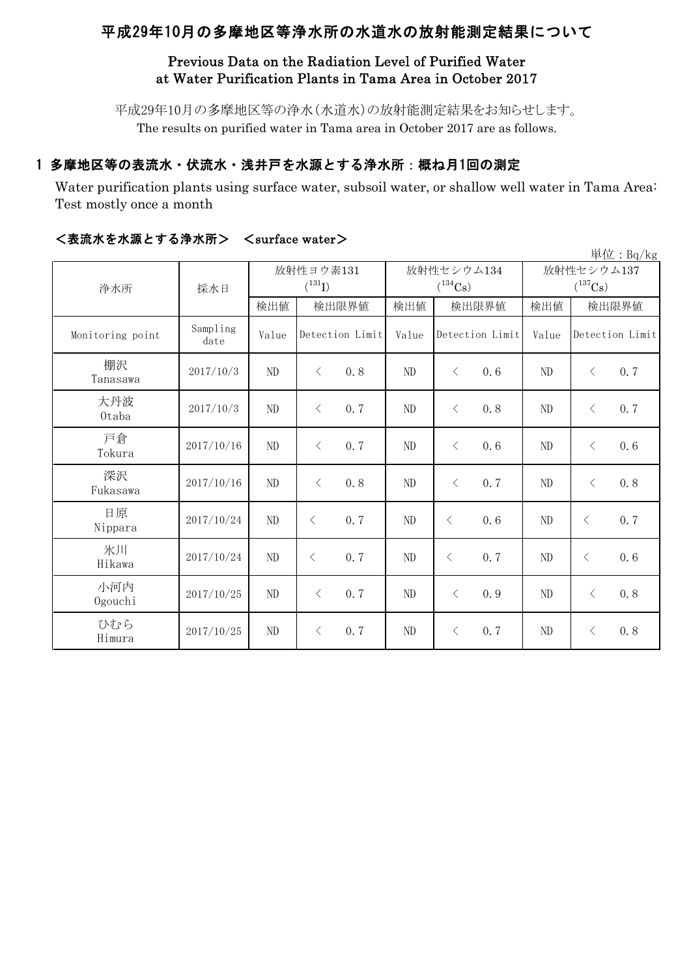# 平成29年10月の多摩地区等浄水所の水道水の放射能測定結果について

#### Previous Data on the Radiation Level of Purified Water at Water Purification Plants in Tama Area in October 2017

平成29年10月の多摩地区等の浄水(水道水)の放射能測定結果をお知らせします。 The results on purified water in Tama area in October 2017 are as follows.

## 1 多摩地区等の表流水・伏流水・浅井戸を水源とする浄水所:概ね月1回の測定

Water purification plants using surface water, subsoil water, or shallow well water in Tama Area: Test mostly once a month

|                  |                  |             |                  |          |                  |                       | 単位: $Bq/kg$      |  |
|------------------|------------------|-------------|------------------|----------|------------------|-----------------------|------------------|--|
|                  | 採水日              |             | 放射性ヨウ素131        |          | 放射性セシウム134       | 放射性セシウム137            |                  |  |
| 浄水所              |                  | $(^{131}I)$ |                  |          | $(^{134}Cs)$     | $(^{137}\mathrm{Cs})$ |                  |  |
|                  |                  | 検出値         | 検出限界値            | 検出値      | 検出限界値            | 検出値                   | 検出限界値            |  |
| Monitoring point | Sampling<br>date | Value       | Detection Limit  | Value    | Detection Limit  | Value                 | Detection Limit  |  |
| 棚沢<br>Tanasawa   | 2017/10/3        | ND          | 0.8<br>$\lt$     | ND       | 0, 6<br>$\lt$    | ND                    | 0.7<br>$\lt$     |  |
| 大丹波<br>0taba     | 2017/10/3        | $\rm ND$    | 0.7<br>$\langle$ | $\rm ND$ | $\lt$<br>0.8     | ND                    | 0.7<br>$\lt$     |  |
| 戸倉<br>Tokura     | 2017/10/16       | ND          | 0.7<br>$\langle$ | ND       | 0, 6<br>$\lt$    | N <sub>D</sub>        | 0.6<br>$\langle$ |  |
| 深沢<br>Fukasawa   | 2017/10/16       | ND          | 0.8<br>$\lt$     | ND       | 0.7<br>$\lt$     | ND                    | 0.8<br>$\langle$ |  |
| 日原<br>Nippara    | 2017/10/24       | $\rm ND$    | 0.7<br>$\langle$ | ND       | $\langle$<br>0.6 | N <sub>D</sub>        | 0.7<br>$\lt$     |  |
| 氷川<br>Hikawa     | 2017/10/24       | ND          | 0.7<br>$\langle$ | ND       | $\lt$<br>0.7     | ND                    | 0.6<br>$\lt$     |  |
| 小河内<br>Ogouchi   | 2017/10/25       | $\rm ND$    | 0.7<br>$\langle$ | ND       | $\lt$<br>0.9     | ND                    | 0.8<br>$\lt$     |  |
| ひむら<br>Himura    | 2017/10/25       | ND          | 0.7<br>$\langle$ | ND       | $\lt$<br>0.7     | ND                    | 0.8<br>$\lt$     |  |

#### <表流水を水源とする浄水所> <surface water>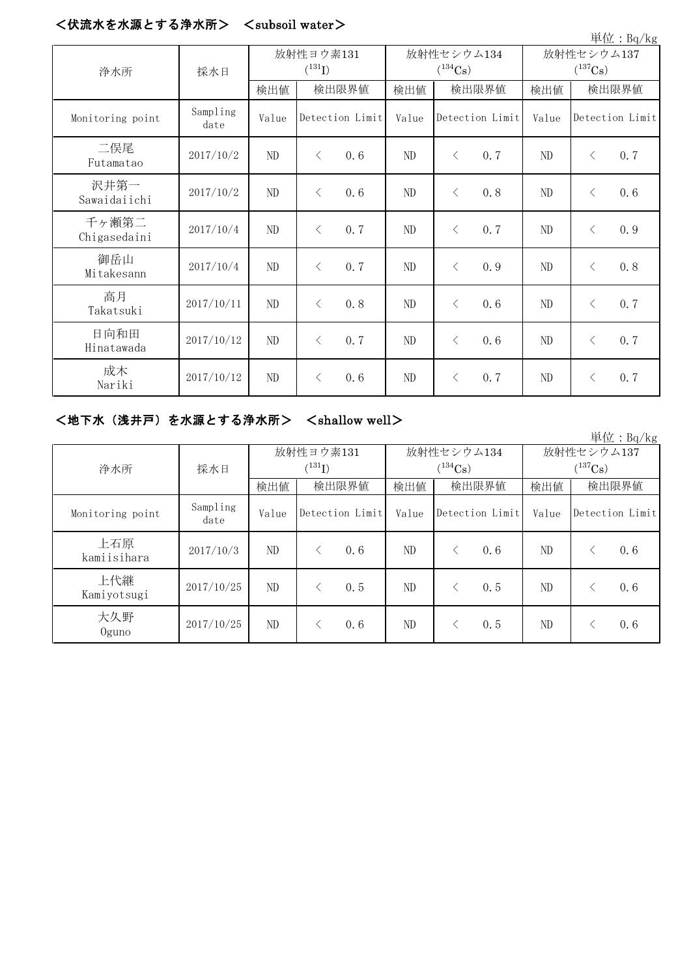## <伏流水を水源とする浄水所> <subsoil water>

|                       |                  |                          |           |                 |                            |           |                 |                                     |           | 单位: Bq/kg       |
|-----------------------|------------------|--------------------------|-----------|-----------------|----------------------------|-----------|-----------------|-------------------------------------|-----------|-----------------|
| 浄水所                   | 採水日              | 放射性ヨウ素131<br>$(^{131}I)$ |           |                 | 放射性セシウム134<br>$(^{134}Cs)$ |           |                 | 放射性セシウム137<br>$(^{137}\mathrm{Cs})$ |           |                 |
|                       |                  | 検出値                      | 検出限界値     |                 | 検出値                        | 検出限界値     |                 | 検出値                                 | 検出限界値     |                 |
| Monitoring point      | Sampling<br>date | Value                    |           | Detection Limit | Value                      |           | Detection Limit | Value                               |           | Detection Limit |
| 二俣尾<br>Futamatao      | 2017/10/2        | ND                       | $\lt$     | 0.6             | ND                         | $\langle$ | 0.7             | ND                                  | $\lt$     | 0.7             |
| 沢井第一<br>Sawaidaiichi  | 2017/10/2        | ND                       | $\langle$ | 0.6             | ND                         | $\lt$     | 0.8             | ND                                  | $\lt$     | 0.6             |
| 千ヶ瀬第二<br>Chigasedaini | 2017/10/4        | ND                       | $\langle$ | 0.7             | ND                         | $\langle$ | 0.7             | ND                                  | $\lt$     | 0.9             |
| 御岳山<br>Mitakesann     | 2017/10/4        | $\rm ND$                 | $\lt$     | 0.7             | ND                         | $\lt$     | 0.9             | ND                                  | $\lt$     | 0.8             |
| 高月<br>Takatsuki       | 2017/10/11       | ND                       | $\langle$ | 0.8             | ND                         | $\lt$     | 0.6             | ND                                  | $\lt$     | 0.7             |
| 日向和田<br>Hinatawada    | 2017/10/12       | ND                       | $\lt$     | 0.7             | ND                         | $\langle$ | 0.6             | ND                                  | $\lt$     | 0.7             |
| 成木<br>Nariki          | 2017/10/12       | ND                       | $\langle$ | 0.6             | ND                         | $\lt$     | 0.7             | ND                                  | $\langle$ | 0.7             |

## <地下水(浅井戸)を水源とする浄水所> <shallow well>

単位:Bq/kg

|                    | 採水日              |       | 放射性ヨウ素131       |       | 放射性セシウム134      | 放射性セシウム137   |                 |  |
|--------------------|------------------|-------|-----------------|-------|-----------------|--------------|-----------------|--|
| 浄水所                |                  |       | $(^{131}I)$     |       | $(^{134}Cs)$    | $(^{137}Cs)$ |                 |  |
|                    |                  | 検出値   | 検出限界値           | 検出値   | 検出限界値           | 検出値          | 検出限界値           |  |
| Monitoring point   | Sampling<br>date | Value | Detection Limit | Value | Detection Limit | Value        | Detection Limit |  |
| 上石原<br>kamiisihara | 2017/10/3        | ND    | 0.6             | ND    | 0, 6            | ND           | 0.6             |  |
| 上代継<br>Kamiyotsugi | 2017/10/25       | ND    | 0.5             | ND    | 0.5             | ND           | 0.6             |  |
| 大久野<br>Oguno       | 2017/10/25       | ND    | 0.6             | ND    | 0.5             | ND           | 0.6             |  |